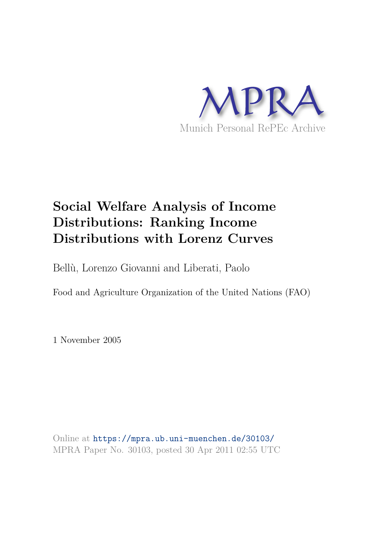

# **Social Welfare Analysis of Income Distributions: Ranking Income Distributions with Lorenz Curves**

Bellù, Lorenzo Giovanni and Liberati, Paolo

Food and Agriculture Organization of the United Nations (FAO)

1 November 2005

Online at https://mpra.ub.uni-muenchen.de/30103/ MPRA Paper No. 30103, posted 30 Apr 2011 02:55 UTC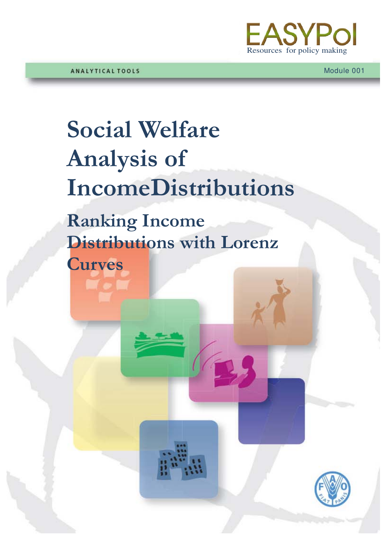

# **Social Welfare Analysis of IncomeDistributions**

**Ranking Income Distributions with Lorenz** 

**Curves**

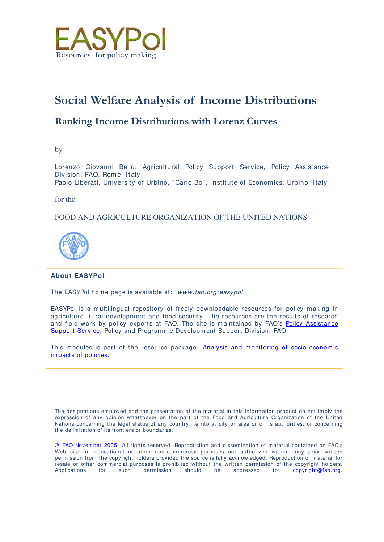

# **Social Welfare Analysis of Income Distributions**

# **Ranking Income Distributions with Lorenz Curves**

by

Lorenzo Giovanni Bellù, Agricultural Policy Support Service, Policy Assistance Division, FAO, Rom e, Italy Paolo Liberati, University of Urbino, "Carlo Bo", Institute of Economics, Urbino, Italy

for the

# FOOD AND AGRICULTURE ORGANIZATION OF THE UNITED NATIONS



#### **About EASYPol**

The EASYPol home page is available at: www.fao.org/easypol

EASYPol is a multilingual repository of freely downloadable resources for policy making in agriculture, rural development and food security. The resources are the results of research and field work by policy experts at FAO. The site is m aintained by FAO's Policy Assistance Support Service, Policy and Programme Development Support Division, FAO.

This modules is part of the resource package Analysis and monitoring of socio-economic im pacts of policies.

The designations employed and the presentation of the material in this information product do not imply the expression of any opinion whatsoever on the part of the Food and Agriculture Organization of the United Nations concerning the legal status of any country, territory, city or area or of its authorities, or concerning the delimitation of its frontiers or boundaries.

© FAO November 2005: All rights reserved. Reproduction and dissemination of material contained on FAO's Web site for educational or other non-commercial purposes are authorized without any prior written permission from the copyright holders provided the source is fully acknowledged. Reproduction of material for resale or other commercial purposes is prohibited without the written permission of the copyright holders.<br>Applications for such permission should be addressed to: **copyright@fao.org**. copyright@fao.org.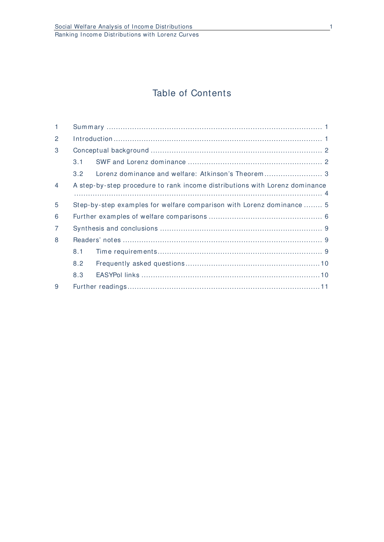# Table of Contents

| $\mathbf{1}$   |                                                                             |  |  |  |  |  |  |
|----------------|-----------------------------------------------------------------------------|--|--|--|--|--|--|
| 2              |                                                                             |  |  |  |  |  |  |
| 3              |                                                                             |  |  |  |  |  |  |
|                | 3.1                                                                         |  |  |  |  |  |  |
|                | 3.2                                                                         |  |  |  |  |  |  |
| $\overline{4}$ | A step-by-step procedure to rank income distributions with Lorenz dominance |  |  |  |  |  |  |
| 5              | Step-by-step examples for welfare comparison with Lorenz dominance  5       |  |  |  |  |  |  |
| 6              |                                                                             |  |  |  |  |  |  |
| $\overline{7}$ |                                                                             |  |  |  |  |  |  |
| 8              |                                                                             |  |  |  |  |  |  |
|                | 8.1                                                                         |  |  |  |  |  |  |
|                | 8.2                                                                         |  |  |  |  |  |  |
|                | 8.3                                                                         |  |  |  |  |  |  |
| 9              |                                                                             |  |  |  |  |  |  |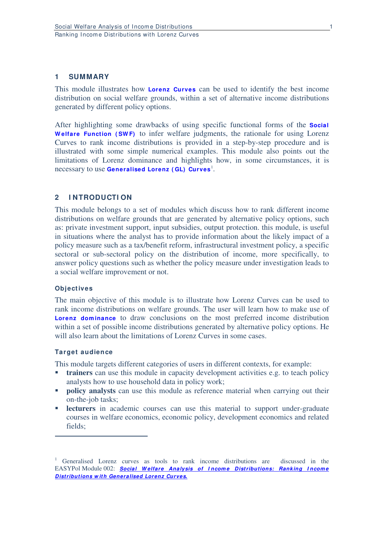# **1 SUMMARY**

This module illustrates how **Lorenz Curves** can be used to identify the best income distribution on social welfare grounds, within a set of alternative income distributions generated by different policy options.

After highlighting some drawbacks of using specific functional forms of the **Social W elfare Function ( SW F)** to infer welfare judgments, the rationale for using Lorenz Curves to rank income distributions is provided in a step-by-step procedure and is illustrated with some simple numerical examples. This module also points out the limitations of Lorenz dominance and highlights how, in some circumstances, it is necessary to use **Generalised Lorenz ( GL) Curves**[1](#page-4-0) .

# **2 I NTRODUCTI ON**

This module belongs to a set of modules which discuss how to rank different income distributions on welfare grounds that are generated by alternative policy options, such as: private investment support, input subsidies, output protection. this module, is useful in situations where the analyst has to provide information about the likely impact of a policy measure such as a tax/benefit reform, infrastructural investment policy, a specific sectoral or sub-sectoral policy on the distribution of income, more specifically, to answer policy questions such as whether the policy measure under investigation leads to a social welfare improvement or not.

#### **Objectives**

The main objective of this module is to illustrate how Lorenz Curves can be used to rank income distributions on welfare grounds. The user will learn how to make use of Lorenz dominance to draw conclusions on the most preferred income distribution within a set of possible income distributions generated by alternative policy options. He will also learn about the limitations of Lorenz Curves in some cases.

#### **Target audience**

-

This module targets different categories of users in different contexts, for example:

- **trainers** can use this module in capacity development activities e.g. to teach policy analysts how to use household data in policy work;
- **policy analysts** can use this module as reference material when carrying out their on-the-job tasks;
- **lecturers** in academic courses can use this material to support under-graduate courses in welfare economics, economic policy, development economics and related fields;

<span id="page-4-0"></span><sup>&</sup>lt;sup>1</sup> Generalised Lorenz curves as tools to rank income distributions are discussed in the EASYPol Module 002: **Social Welfare Analysis of Income Distributions: Ranking Income** *Distributions w ith Generalised Lorenz Curves.*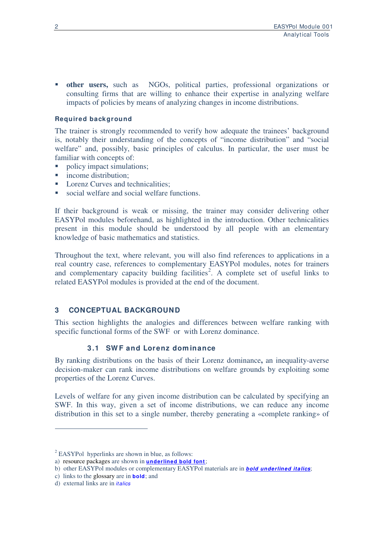**other users,** such as NGOs, political parties, professional organizations or consulting firms that are willing to enhance their expertise in analyzing welfare impacts of policies by means of analyzing changes in income distributions.

# **Required background**

The trainer is strongly recommended to verify how adequate the trainees' background is, notably their understanding of the concepts of "income distribution" and "social welfare" and, possibly, basic principles of calculus. In particular, the user must be familiar with concepts of:

- policy impact simulations;
- income distribution;
- Lorenz Curves and technicalities:
- social welfare and social welfare functions.

If their background is weak or missing, the trainer may consider delivering other EASYPol modules beforehand, as highlighted in the introduction. Other technicalities present in this module should be understood by all people with an elementary knowledge of basic mathematics and statistics.

Throughout the text, where relevant, you will also find references to applications in a real country case, references to complementary EASYPol modules, notes for trainers and complementary capacity building facilities<sup>[2](#page-5-0)</sup>. A complete set of useful links to related EASYPol modules is provided at the end of the document.

# **3 CONCEPTUAL BACKGROUND**

This section highlights the analogies and differences between welfare ranking with specific functional forms of the SWF or with Lorenz dominance.

# **3 .1 SW F and Lorenz dom inance**

By ranking distributions on the basis of their Lorenz dominance**,** an inequality-averse decision-maker can rank income distributions on welfare grounds by exploiting some properties of the Lorenz Curves.

Levels of welfare for any given income distribution can be calculated by specifying an SWF. In this way, given a set of income distributions, we can reduce any income distribution in this set to a single number, thereby generating a «complete ranking» of

-

 $2$  EASYPol hyperlinks are shown in blue, as follows:

<span id="page-5-0"></span>a) resource packages are shown in **underlined bold font**;

b) other EASYPol modules or complementary EASYPol materials are in *bold underlined italics*;

c) links to the glossary are in **bold**; and

d) external links are in *italics*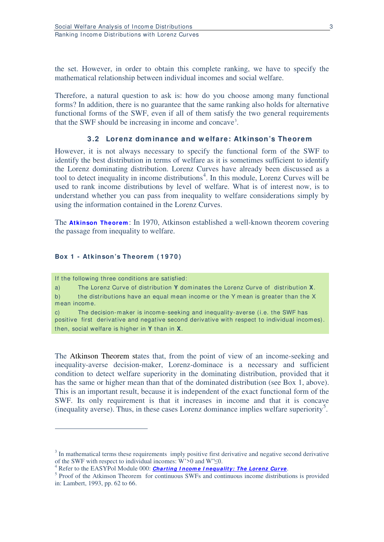the set. However, in order to obtain this complete ranking, we have to specify the mathematical relationship between individual incomes and social welfare.

Therefore, a natural question to ask is: how do you choose among many functional forms? In addition, there is no guarantee that the same ranking also holds for alternative functional forms of the SWF, even if all of them satisfy the two general requirements that the SWF should be increasing in income and concave[3](#page-6-0) .

#### **3 .2 Lorenz dom inance and w elfare: Atkinson's Theorem**

However, it is not always necessary to specify the functional form of the SWF to identify the best distribution in terms of welfare as it is sometimes sufficient to identify the Lorenz dominating distribution. Lorenz Curves have already been discussed as a tool to detect inequality in income distributions<sup>[4](#page-6-1)</sup>. In this module, Lorenz Curves will be used to rank income distributions by level of welfare. What is of interest now, is to understand whether you can pass from inequality to welfare considerations simply by using the information contained in the Lorenz Curves.

The **Atkinson Theorem**: In 1970, Atkinson established a well-known theorem covering the passage from inequality to welfare.

#### Box 1 - Atkinson's Theorem (1970)

If the following three conditions are satisfied:

-

a) The Lorenz Curve of distribution **Y** dominates the Lorenz Curve of distribution **X**. b) the distributions have an equal mean income or the Y mean is greater than the X mean income.

c) The decision-m aker is incom e-seeking and inequality-averse (i.e. the SWF has positive first derivative and negative second derivative with respect to individual incomes). then, social welfare is higher in **Y** than in **X**.

The Atkinson Theorem states that, from the point of view of an income-seeking and inequality-averse decision-maker, Lorenz-dominace is a necessary and sufficient condition to detect welfare superiority in the dominating distribution, provided that it has the same or higher mean than that of the dominated distribution (see Box 1, above). This is an important result, because it is independent of the exact functional form of the SWF. Its only requirement is that it increases in income and that it is concave (inequality averse). Thus, in these cases Lorenz dominance implies welfare superiority[5](#page-6-2) .

<span id="page-6-0"></span> $3$  In mathematical terms these requirements imply positive first derivative and negative second derivative of the SWF with respect to individual incomes: W'>0 and W"≤0.

<span id="page-6-1"></span><sup>&</sup>lt;sup>4</sup> Refer to the EASYPol Module 000: *Charting Income Inequality: The Lorenz Curve*.

<span id="page-6-2"></span><sup>&</sup>lt;sup>5</sup> Proof of the Atkinson Theorem for continuous SWFs and continuous income distributions is provided in: Lambert, 1993, pp. 62 to 66.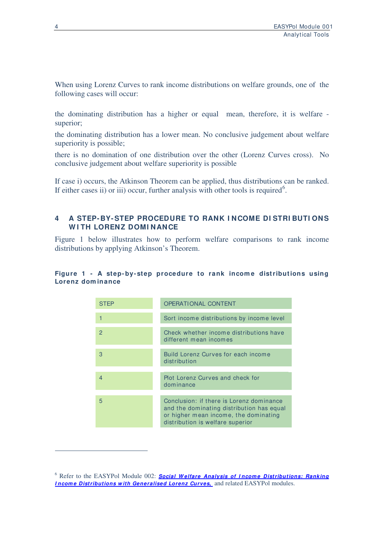When using Lorenz Curves to rank income distributions on welfare grounds, one of the following cases will occur:

the dominating distribution has a higher or equal mean, therefore, it is welfare superior;

the dominating distribution has a lower mean. No conclusive judgement about welfare superiority is possible;

there is no domination of one distribution over the other (Lorenz Curves cross). No conclusive judgement about welfare superiority is possible

If case i) occurs, the Atkinson Theorem can be applied, thus distributions can be ranked. If either cases ii) or iii) occur, further analysis with other tools is required<sup>[6](#page-7-0)</sup>.

# **4 A STEP- BY-STEP PROCEDURE TO RANK I NCOME DI STRI BUTI ONS W I TH LORENZ DOMI NANCE**

Figure 1 below illustrates how to perform welfare comparisons to rank income distributions by applying Atkinson's Theorem.

#### Figure 1 - A step-by-step procedure to rank income distributions using **Lorenz dom inance**



-

<span id="page-7-0"></span><sup>&</sup>lt;sup>6</sup> Refer to the EASYPol Module 002: **Social Welfare Analysis of Income Distributions: Ranking** *Income Distributions with Generalised Lorenz Curves*, and related EASYPol modules.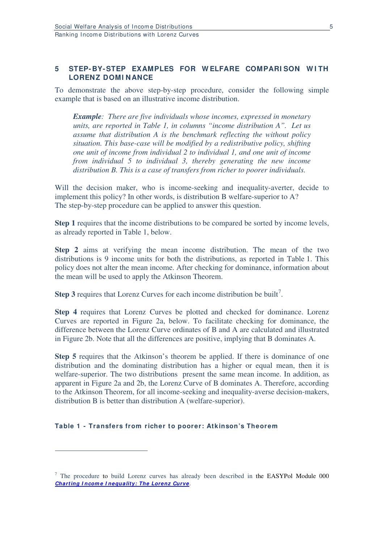# **5 STEP- BY-STEP EXAMPLES FOR W ELFARE COMPARI SON W I TH LORENZ DOMI NANCE**

To demonstrate the above step-by-step procedure, consider the following simple example that is based on an illustrative income distribution.

*Example: There are five individuals whose incomes, expressed in monetary units, are reported in Table 1, in columns "income distribution A". Let us assume that distribution A is the benchmark reflecting the without policy situation. This base-case will be modified by a redistributive policy, shifting one unit of income from individual 2 to individual 1, and one unit of income from individual 5 to individual 3, thereby generating the new income distribution B. This is a case of transfers from richer to poorer individuals.* 

Will the decision maker, who is income-seeking and inequality-averter, decide to implement this policy? In other words, is distribution B welfare-superior to A? The step-by-step procedure can be applied to answer this question.

**Step 1** requires that the income distributions to be compared be sorted by income levels, as already reported in Table 1, below.

**Step 2** aims at verifying the mean income distribution. The mean of the two distributions is 9 income units for both the distributions, as reported in Table 1. This policy does not alter the mean income. After checking for dominance, information about the mean will be used to apply the Atkinson Theorem.

**Step 3** requires that Lorenz Curves for each income distribution be built<sup>[7](#page-8-0)</sup>.

**Step 4** requires that Lorenz Curves be plotted and checked for dominance. Lorenz Curves are reported in Figure 2a, below. To facilitate checking for dominance, the difference between the Lorenz Curve ordinates of B and A are calculated and illustrated in Figure 2b. Note that all the differences are positive, implying that B dominates A.

**Step 5** requires that the Atkinson's theorem be applied. If there is dominance of one distribution and the dominating distribution has a higher or equal mean, then it is welfare-superior. The two distributions present the same mean income. In addition, as apparent in Figure 2a and 2b, the Lorenz Curve of B dominates A. Therefore, according to the Atkinson Theorem, for all income-seeking and inequality-averse decision-makers, distribution B is better than distribution A (welfare-superior).

#### **Table 1 - Transfers from richer to poorer: Atkinson's Theorem**

-

<span id="page-8-0"></span> $7$  The procedure to build Lorenz curves has already been described in the EASYPol Module 000 *Charting I ncom e I nequality: The Lorenz Curve*.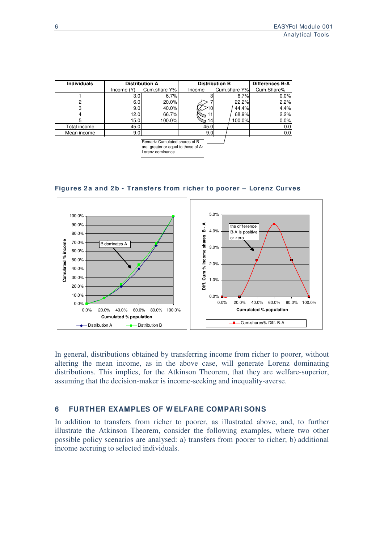| <b>Individuals</b> |                            | <b>Distribution A</b>                                                                    | <b>Distribution B</b> | <b>Differences B-A</b> |            |  |
|--------------------|----------------------------|------------------------------------------------------------------------------------------|-----------------------|------------------------|------------|--|
|                    | Cum.share Y%<br>Income (Y) |                                                                                          | Income                | Cum.share Y%           | Cum.Share% |  |
|                    | 3.0                        | 6.7%                                                                                     |                       | 6.7%                   | $0.0\%$    |  |
| 2                  | 6.0                        | 20.0%                                                                                    |                       | 22.2%                  | 2.2%       |  |
| 3                  | 9.0                        | 40.0%                                                                                    |                       | 44.4%                  | 4.4%       |  |
| 4                  | 12.0                       | 66.7%                                                                                    |                       | 68.9%                  | 2.2%       |  |
| 5                  | 15.0                       | 100.0%                                                                                   | <b>4</b>              | 100.0%l                | $0.0\%$    |  |
| Total income       | 45.0                       |                                                                                          | 45.0                  |                        | 0.0        |  |
| Mean income        | 9.0                        |                                                                                          | 9.0                   |                        | 0.0        |  |
|                    |                            | Remark: Cumulated shares of B<br>are greater or equal to those of A:<br>Lorenz dominance |                       |                        |            |  |





In general, distributions obtained by transferring income from richer to poorer, without altering the mean income, as in the above case, will generate Lorenz dominating distributions. This implies, for the Atkinson Theorem, that they are welfare-superior, assuming that the decision-maker is income-seeking and inequality-averse.

# **6 FURTHER EXAMPLES OF W ELFARE COMPARI SONS**

In addition to transfers from richer to poorer, as illustrated above, and, to further illustrate the Atkinson Theorem, consider the following examples, where two other possible policy scenarios are analysed: a) transfers from poorer to richer; b) additional income accruing to selected individuals.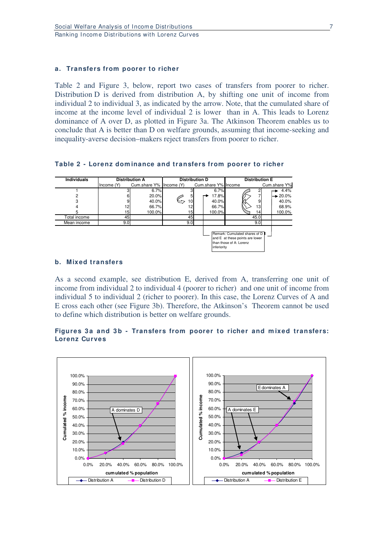#### **a. Transfers from poorer to richer**

Table 2 and Figure 3, below, report two cases of transfers from poorer to richer. Distribution D is derived from distribution A, by shifting one unit of income from individual 2 to individual 3, as indicated by the arrow. Note, that the cumulated share of income at the income level of individual 2 is lower than in A. This leads to Lorenz dominance of A over D, as plotted in Figure 3a. The Atkinson Theorem enables us to conclude that A is better than D on welfare grounds, assuming that income-seeking and inequality-averse decision–makers reject transfers from poorer to richer.

**Table 2 - Lorenz dom inance and transfers from poorer to richer**

| <b>Individuals</b> | <b>Distribution A</b> |                         | <b>Distribution D</b> |                     |              | <b>Distribution E</b>                                                                          |  |                      |
|--------------------|-----------------------|-------------------------|-----------------------|---------------------|--------------|------------------------------------------------------------------------------------------------|--|----------------------|
|                    | Income (Y)            | Cum.share Y% Income (Y) |                       | Cum.share Y% Income |              |                                                                                                |  | Cum.share Y%         |
|                    |                       | 6.7%                    |                       |                     | 6.7%         | 2                                                                                              |  | 4.4%                 |
| 2                  | 6                     | 20.0%                   | 5                     |                     | 17.8%        | 7                                                                                              |  | $\rightarrow 20.0\%$ |
|                    | 9                     | 40.0%                   | 10                    |                     | 40.0%        | 9                                                                                              |  | 40.0%                |
|                    | 12                    | 66.7%                   | 12                    |                     | 66.7%        | 13                                                                                             |  | 68.9%                |
| 5                  | 15)                   | 100.0%                  | 15 <sup>1</sup>       |                     | 100.0%       | 14                                                                                             |  | 100.0%               |
| Total income       | 45                    |                         | 45                    |                     |              | 45.0                                                                                           |  |                      |
| Mean income        | 9.0                   |                         | 9.0                   |                     |              | 9.0                                                                                            |  |                      |
|                    |                       |                         |                       |                     | linferioritv | Remark: Cumulated shares of D   <br>and E at these points are lower<br>than those of A: Lorenz |  |                      |

# **b. Mixed transfers**

As a second example, see distribution E, derived from A, transferring one unit of income from individual 2 to individual 4 (poorer to richer) and one unit of income from individual 5 to individual 2 (richer to poorer). In this case, the Lorenz Curves of A and E cross each other (see Figure 3b). Therefore, the Atkinson's Theorem cannot be used to define which distribution is better on welfare grounds.

# Figures 3a and 3b - Transfers from poorer to richer and mixed transfers: **Lorenz Curves**

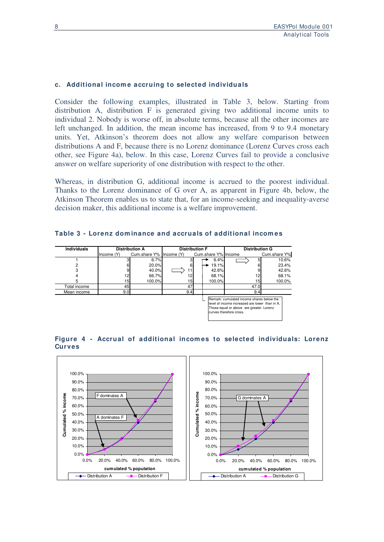### **c. Additional incom e accruing to selected individuals**

Consider the following examples, illustrated in Table 3, below. Starting from distribution A, distribution F is generated giving two additional income units to individual 2. Nobody is worse off, in absolute terms, because all the other incomes are left unchanged. In addition, the mean income has increased, from 9 to 9.4 monetary units. Yet, Atkinson's theorem does not allow any welfare comparison between distributions A and F, because there is no Lorenz dominance (Lorenz Curves cross each other, see Figure 4a), below. In this case, Lorenz Curves fail to provide a conclusive answer on welfare superiority of one distribution with respect to the other.

Whereas, in distribution G, additional income is accrued to the poorest individual. Thanks to the Lorenz dominance of G over A, as apparent in Figure 4b, below, the Atkinson Theorem enables us to state that, for an income-seeking and inequality-averse decision maker, this additional income is a welfare improvement.

|  | Table 3 - Lorenz dominance and accruals of additional incomes |
|--|---------------------------------------------------------------|
|--|---------------------------------------------------------------|

| <b>Individuals</b><br><b>Distribution A</b>                                                                                                                        |                  | <b>Distribution F</b>   |     |  | <b>Distribution G</b> |      |              |
|--------------------------------------------------------------------------------------------------------------------------------------------------------------------|------------------|-------------------------|-----|--|-----------------------|------|--------------|
|                                                                                                                                                                    | Income $(Y)$     | Cum.share Y% Income (Y) |     |  | Cum.share Y% Income   |      | Cum.share Y% |
|                                                                                                                                                                    |                  | 6.7%                    |     |  | 6.4%                  |      | 10.6%        |
|                                                                                                                                                                    |                  | 20.0%                   | 61  |  | 19.1%                 |      | 23.4%        |
|                                                                                                                                                                    |                  | 40.0%                   | 11' |  | 42.6%                 |      | 42.6%        |
|                                                                                                                                                                    | 12               | 66.7%                   | 2   |  | 68.1%                 | 12   | 68.1%        |
|                                                                                                                                                                    | 15I              | 100.0%                  | 15  |  | 100.0%                | 15   | 100.0%       |
| Total income                                                                                                                                                       | 45               |                         | 47  |  |                       | 47.0 |              |
| Mean income                                                                                                                                                        | 9.0 <sub>l</sub> |                         | 9.4 |  |                       | 9.4  |              |
| Remark: cumulated income shares below the<br>level of income increased are lower than in A.<br>Those equal or above are greater. Lorenz<br>curves therefore cross. |                  |                         |     |  |                       |      |              |



# **Figure 4 - Accrual of additional incom es to selected individuals: Lorenz Curves**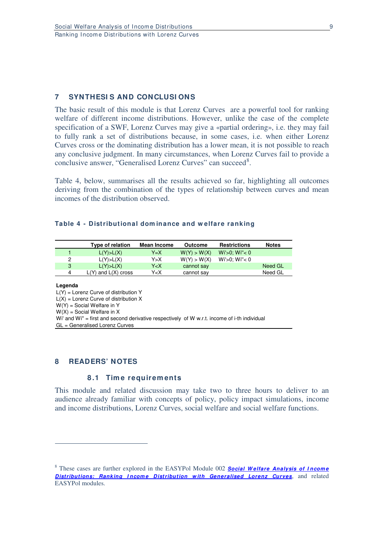# **7 SYNTHESI S AND CONCLUSI ONS**

The basic result of this module is that Lorenz Curves are a powerful tool for ranking welfare of different income distributions. However, unlike the case of the complete specification of a SWF, Lorenz Curves may give a «partial ordering», i.e. they may fail to fully rank a set of distributions because, in some cases, i.e. when either Lorenz Curves cross or the dominating distribution has a lower mean, it is not possible to reach any conclusive judgment. In many circumstances, when Lorenz Curves fail to provide a conclusive answer, "Generalised Lorenz Curves" can succeed<sup>[8](#page-12-0)</sup>.

Table 4, below, summarises all the results achieved so far, highlighting all outcomes deriving from the combination of the types of relationship between curves and mean incomes of the distribution observed.

#### **Table 4 - Distributional dom inance and w elfare ranking**

|   | Type of relation        | Mean Income                                                   | Outcome     | <b>Restrictions</b>  | <b>Notes</b> |
|---|-------------------------|---------------------------------------------------------------|-------------|----------------------|--------------|
|   | L(Y) > L(X)             | Y=X                                                           | W(Y) > W(X) | $Wi > 0$ ; $Wi' < 0$ |              |
| 2 | L(Y) > L(X)             | Y>X                                                           | W(Y) > W(X) | $Wi > 0$ ; $Wi' < 0$ |              |
| 3 | L(Y) > L(X)             | Y <x< td=""><td>cannot say</td><td></td><td>Need GL</td></x<> | cannot say  |                      | Need GL      |
| 4 | $L(Y)$ and $L(X)$ cross | Y <x< td=""><td>cannot say</td><td></td><td>Need GL</td></x<> | cannot say  |                      | Need GL      |

#### **Legenda**

-

 $L(Y)$  = Lorenz Curve of distribution Y  $L(X) =$  Lorenz Curve of distribution X W(Y) = Social Welfare in Y  $W(X)$  = Social Welfare in X Wi' and Wi" = first and second derivative respectively of W w.r.t. income of i-th individual GL = Generalised Lorenz Curves

#### **8 READERS' NOTES**

#### **8 .1 Tim e requirem ents**

This module and related discussion may take two to three hours to deliver to an audience already familiar with concepts of policy, policy impact simulations, income and income distributions, Lorenz Curves, social welfare and social welfare functions.

<span id="page-12-0"></span><sup>8</sup> These cases are further explored in the EASYPol Module 002 *Social W elfare Analysis of I ncom e*  **Distributions: Ranking Income Distribution with Generalised Lorenz Curves**, and related EASYPol modules.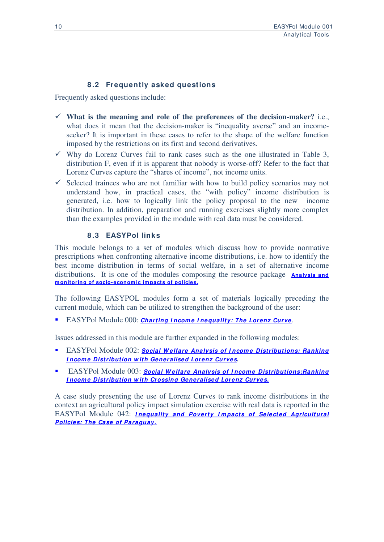# **8 .2 Frequently asked questions**

Frequently asked questions include:

- **What is the meaning and role of the preferences of the decision-maker?** i.e., what does it mean that the decision-maker is "inequality averse" and an incomeseeker? It is important in these cases to refer to the shape of the welfare function imposed by the restrictions on its first and second derivatives.
- $\checkmark$  Why do Lorenz Curves fail to rank cases such as the one illustrated in Table 3, distribution F, even if it is apparent that nobody is worse-off? Refer to the fact that Lorenz Curves capture the "shares of income", not income units.
- $\checkmark$  Selected trainees who are not familiar with how to build policy scenarios may not understand how, in practical cases, the "with policy" income distribution is generated, i.e. how to logically link the policy proposal to the new income generated, i.e. how to logically link the policy proposal to the new distribution. In addition, preparation and running exercises slightly more complex than the examples provided in the module with real data must be considered.

# **8 .3 EASYPol links**

This module belongs to a set of modules which discuss how to provide normative prescriptions when confronting alternative income distributions, i.e. how to identify the best income distribution in terms of social welfare, in a set of alternative income distributions. It is one of the modules composing the resource package **Analysis and m onitoring of socio- econom ic im pacts of policies.**

The following EASYPOL modules form a set of materials logically preceding the current module, which can be utilized to strengthen the background of the user:

EASYPol Module 000: *Charting Income Inequality: The Lorenz Curve*.

Issues addressed in this module are further expanded in the following modules:

- EASYPol Module 002: *Social W elfare Analysis of I ncom e Distributions: Ranking I ncom e Distribution w ith Generalised Lorenz Curves.*
- **EASYPol Module 003: Social Welfare Analysis of Income Distributions: Ranking** *I ncom e Distribution w ith Crossing Generalised Lorenz Curves.*

A case study presenting the use of Lorenz Curves to rank income distributions in the context an agricultural policy impact simulation exercise with real data is reported in the EASYPol Module 042: *I nequality and Poverty I m pacts of Selected Agricultural Policies: The Case of Paraguay.*